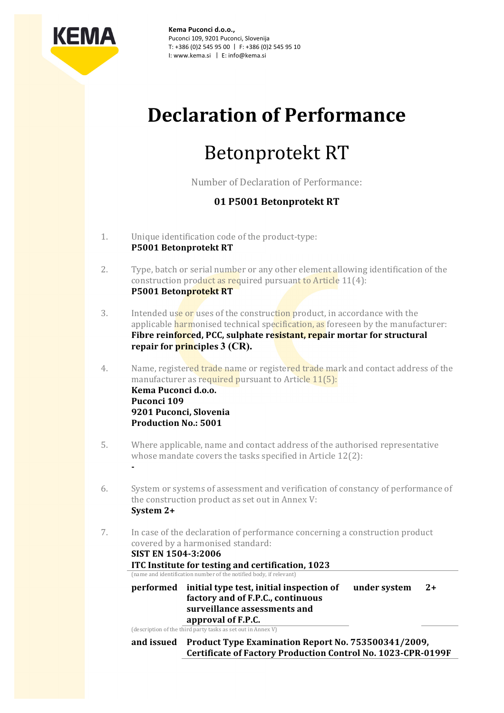

Kema Puconci d.o.o., Puconci 109, 9201 Puconci, Slovenija T: +386 (0)2 545 95 00 | F: +386 (0)2 545 95 10 I: www.kema.si | E: info@kema.si

## **Declaration+of+Performance**

# Betonprotekt RT

Number of Declaration of Performance:

### **01+P5001+Betonprotekt+RT**

- 1. Unique identification code of the product-type: P5001 Betonprotekt RT
- 2. Type, batch or serial number or any other element allowing identification of the construction product as required pursuant to Article  $11(4)$ : **P5001 Betonprotekt RT**
- 3. Intended use or uses of the construction product, in accordance with the applicable harmonised technical specification, as foreseen by the manufacturer: Fibre reinforced, PCC, sulphate resistant, repair mortar for structural **repair for principles 3 (CR).**
- 4. Name, registered trade name or registered trade mark and contact address of the manufacturer as required pursuant to Article 11(5): **Kema+Puconci+d.o.o.** Puconci 109 **9201 Puconci, Slovenia Production No.: 5001**
- 5. Where applicable, name and contact address of the authorised representative whose mandate covers the tasks specified in Article  $12(2)$ :
- 6. System or systems of assessment and verification of constancy of performance of the construction product as set out in Annex V: **System+2+**
- 7. In case of the declaration of performance concerning a construction product covered by a harmonised standard: **SIST EN 1504-3:2006**

**ITC+Institute+for+testing+and+certification, 1023** (name and identification number of the notified body, if relevant)

**performed** initial type test, initial inspection of factory and of F.P.C., continuous surveillance assessments and **approval+of+F.P.C. under system** 2+

(description of the third party tasks as set out in Annex V)

**G**

**and+issued Product+Type+Examination+Report+No.+753500341/2009,** Certificate of Factory Production Control No. 1023-CPR-0199F